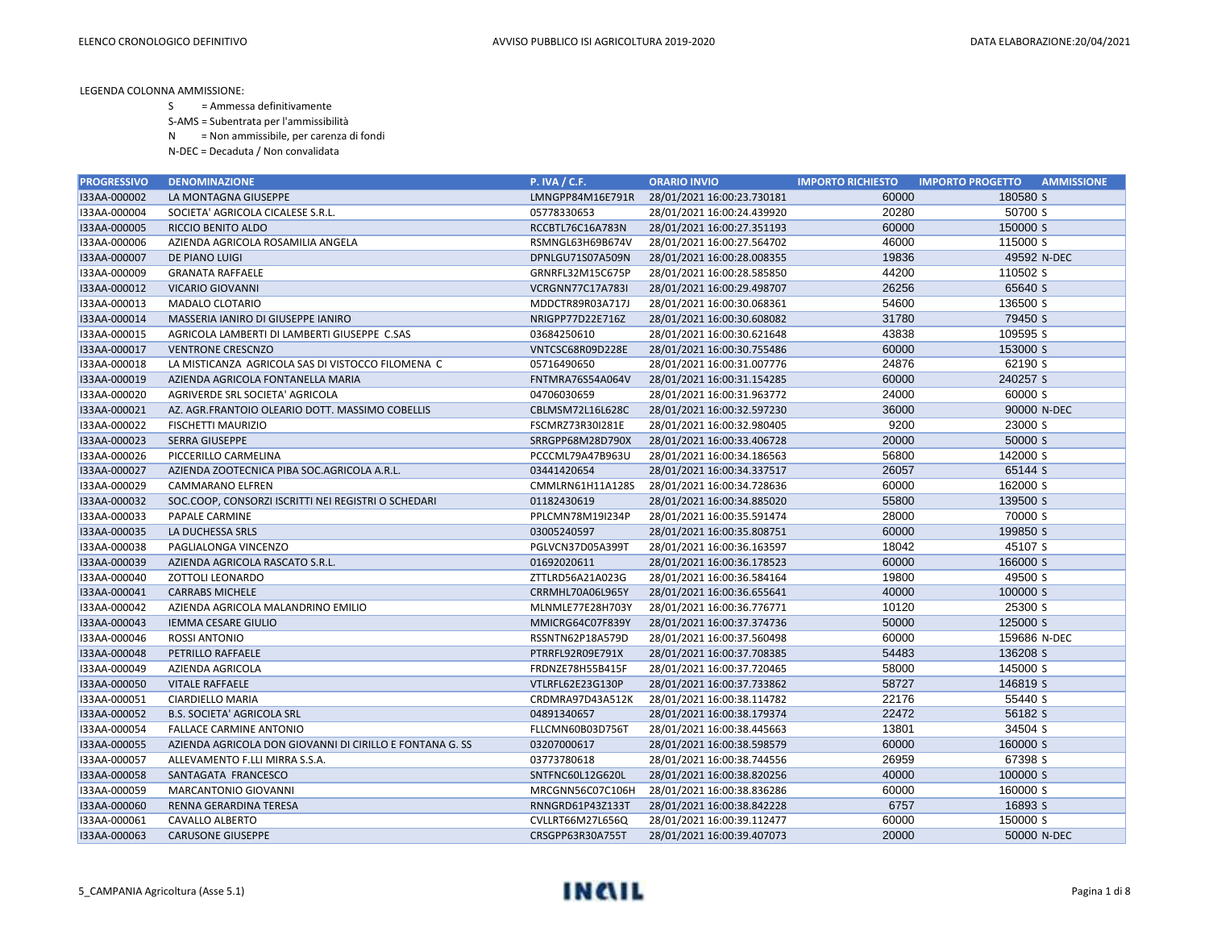- S = Ammessa definitivamente
- S-AMS = Subentrata per l'ammissibilità
- N = Non ammissibile, per carenza di fondi
- N-DEC = Decaduta / Non convalidata

| <b>PROGRESSIVO</b> | <b>DENOMINAZIONE</b>                                     | <b>P. IVA / C.F.</b> | <b>ORARIO INVIO</b>        | <b>IMPORTO RICHIESTO</b> | <b>IMPORTO PROGETTO</b><br><b>AMMISSIONE</b> |
|--------------------|----------------------------------------------------------|----------------------|----------------------------|--------------------------|----------------------------------------------|
| I33AA-000002       | LA MONTAGNA GIUSEPPE                                     | LMNGPP84M16E791R     | 28/01/2021 16:00:23.730181 | 60000                    | 180580 S                                     |
| I33AA-000004       | SOCIETA' AGRICOLA CICALESE S.R.L.                        | 05778330653          | 28/01/2021 16:00:24.439920 | 20280                    | 50700 S                                      |
| I33AA-000005       | RICCIO BENITO ALDO                                       | RCCBTL76C16A783N     | 28/01/2021 16:00:27.351193 | 60000                    | 150000 S                                     |
| I33AA-000006       | AZIENDA AGRICOLA ROSAMILIA ANGELA                        | RSMNGL63H69B674V     | 28/01/2021 16:00:27.564702 | 46000                    | 115000 S                                     |
| I33AA-000007       | DE PIANO LUIGI                                           | DPNLGU71S07A509N     | 28/01/2021 16:00:28.008355 | 19836                    | 49592 N-DEC                                  |
| I33AA-000009       | <b>GRANATA RAFFAELE</b>                                  | GRNRFL32M15C675P     | 28/01/2021 16:00:28.585850 | 44200                    | 110502 S                                     |
| I33AA-000012       | <b>VICARIO GIOVANNI</b>                                  | VCRGNN77C17A783I     | 28/01/2021 16:00:29.498707 | 26256                    | 65640 S                                      |
| I33AA-000013       | <b>MADALO CLOTARIO</b>                                   | MDDCTR89R03A717J     | 28/01/2021 16:00:30.068361 | 54600                    | 136500 S                                     |
| I33AA-000014       | MASSERIA IANIRO DI GIUSEPPE IANIRO                       | NRIGPP77D22E716Z     | 28/01/2021 16:00:30.608082 | 31780                    | 79450 S                                      |
| I33AA-000015       | AGRICOLA LAMBERTI DI LAMBERTI GIUSEPPE C.SAS             | 03684250610          | 28/01/2021 16:00:30.621648 | 43838                    | 109595 S                                     |
| I33AA-000017       | <b>VENTRONE CRESCNZO</b>                                 | VNTCSC68R09D228E     | 28/01/2021 16:00:30.755486 | 60000                    | 153000 S                                     |
| I33AA-000018       | LA MISTICANZA AGRICOLA SAS DI VISTOCCO FILOMENA C        | 05716490650          | 28/01/2021 16:00:31.007776 | 24876                    | 62190 S                                      |
| I33AA-000019       | AZIENDA AGRICOLA FONTANELLA MARIA                        | FNTMRA76S54A064V     | 28/01/2021 16:00:31.154285 | 60000                    | 240257 S                                     |
| I33AA-000020       | AGRIVERDE SRL SOCIETA' AGRICOLA                          | 04706030659          | 28/01/2021 16:00:31.963772 | 24000                    | 60000 S                                      |
| I33AA-000021       | AZ. AGR.FRANTOIO OLEARIO DOTT. MASSIMO COBELLIS          | CBLMSM72L16L628C     | 28/01/2021 16:00:32.597230 | 36000                    | 90000 N-DEC                                  |
| I33AA-000022       | FISCHETTI MAURIZIO                                       | FSCMRZ73R30I281E     | 28/01/2021 16:00:32.980405 | 9200                     | 23000 S                                      |
| I33AA-000023       | SERRA GIUSEPPE                                           | SRRGPP68M28D790X     | 28/01/2021 16:00:33.406728 | 20000                    | 50000 S                                      |
| I33AA-000026       | PICCERILLO CARMELINA                                     | PCCCML79A47B963U     | 28/01/2021 16:00:34.186563 | 56800                    | 142000 S                                     |
| I33AA-000027       | AZIENDA ZOOTECNICA PIBA SOC.AGRICOLA A.R.L.              | 03441420654          | 28/01/2021 16:00:34.337517 | 26057                    | 65144 S                                      |
| I33AA-000029       | CAMMARANO ELFREN                                         | CMMLRN61H11A128S     | 28/01/2021 16:00:34.728636 | 60000                    | 162000 S                                     |
| I33AA-000032       | SOC.COOP, CONSORZI ISCRITTI NEI REGISTRI O SCHEDARI      | 01182430619          | 28/01/2021 16:00:34.885020 | 55800                    | 139500 S                                     |
| I33AA-000033       | PAPALE CARMINE                                           | PPLCMN78M19I234P     | 28/01/2021 16:00:35.591474 | 28000                    | 70000 S                                      |
| I33AA-000035       | LA DUCHESSA SRLS                                         | 03005240597          | 28/01/2021 16:00:35.808751 | 60000                    | 199850 S                                     |
| I33AA-000038       | PAGLIALONGA VINCENZO                                     | PGLVCN37D05A399T     | 28/01/2021 16:00:36.163597 | 18042                    | 45107 S                                      |
| I33AA-000039       | AZIENDA AGRICOLA RASCATO S.R.L.                          | 01692020611          | 28/01/2021 16:00:36.178523 | 60000                    | 166000 S                                     |
| I33AA-000040       | ZOTTOLI LEONARDO                                         | ZTTLRD56A21A023G     | 28/01/2021 16:00:36.584164 | 19800                    | 49500 S                                      |
| I33AA-000041       | <b>CARRABS MICHELE</b>                                   | CRRMHL70A06L965Y     | 28/01/2021 16:00:36.655641 | 40000                    | 100000 S                                     |
| I33AA-000042       | AZIENDA AGRICOLA MALANDRINO EMILIO                       | MLNMLE77E28H703Y     | 28/01/2021 16:00:36.776771 | 10120                    | 25300 S                                      |
| I33AA-000043       | <b>IEMMA CESARE GIULIO</b>                               | MMICRG64C07F839Y     | 28/01/2021 16:00:37.374736 | 50000                    | 125000 S                                     |
| I33AA-000046       | ROSSI ANTONIO                                            | RSSNTN62P18A579D     | 28/01/2021 16:00:37.560498 | 60000                    | 159686 N-DEC                                 |
| I33AA-000048       | PETRILLO RAFFAELE                                        | PTRRFL92R09E791X     | 28/01/2021 16:00:37.708385 | 54483                    | 136208 S                                     |
| I33AA-000049       | AZIENDA AGRICOLA                                         | FRDNZE78H55B415F     | 28/01/2021 16:00:37.720465 | 58000                    | 145000 S                                     |
| I33AA-000050       | <b>VITALE RAFFAELE</b>                                   | VTLRFL62E23G130P     | 28/01/2021 16:00:37.733862 | 58727                    | 146819 S                                     |
| I33AA-000051       | CIARDIELLO MARIA                                         | CRDMRA97D43A512K     | 28/01/2021 16:00:38.114782 | 22176                    | 55440 S                                      |
| I33AA-000052       | <b>B.S. SOCIETA' AGRICOLA SRL</b>                        | 04891340657          | 28/01/2021 16:00:38.179374 | 22472                    | 56182 S                                      |
| I33AA-000054       | <b>FALLACE CARMINE ANTONIO</b>                           | FLLCMN60B03D756T     | 28/01/2021 16:00:38.445663 | 13801                    | 34504 S                                      |
| I33AA-000055       | AZIENDA AGRICOLA DON GIOVANNI DI CIRILLO E FONTANA G. SS | 03207000617          | 28/01/2021 16:00:38.598579 | 60000                    | 160000 S                                     |
| I33AA-000057       | ALLEVAMENTO F.LLI MIRRA S.S.A.                           | 03773780618          | 28/01/2021 16:00:38.744556 | 26959                    | 67398 S                                      |
| I33AA-000058       | SANTAGATA FRANCESCO                                      | SNTFNC60L12G620L     | 28/01/2021 16:00:38.820256 | 40000                    | 100000 S                                     |
| I33AA-000059       | MARCANTONIO GIOVANNI                                     | MRCGNN56C07C106H     | 28/01/2021 16:00:38.836286 | 60000                    | 160000 S                                     |
| I33AA-000060       | RENNA GERARDINA TERESA                                   | RNNGRD61P43Z133T     | 28/01/2021 16:00:38.842228 | 6757                     | 16893 S                                      |
| I33AA-000061       | <b>CAVALLO ALBERTO</b>                                   | CVLLRT66M27L656Q     | 28/01/2021 16:00:39.112477 | 60000                    | 150000 S                                     |
| I33AA-000063       | <b>CARUSONE GIUSEPPE</b>                                 | CRSGPP63R30A755T     | 28/01/2021 16:00:39.407073 | 20000                    | 50000 N-DEC                                  |

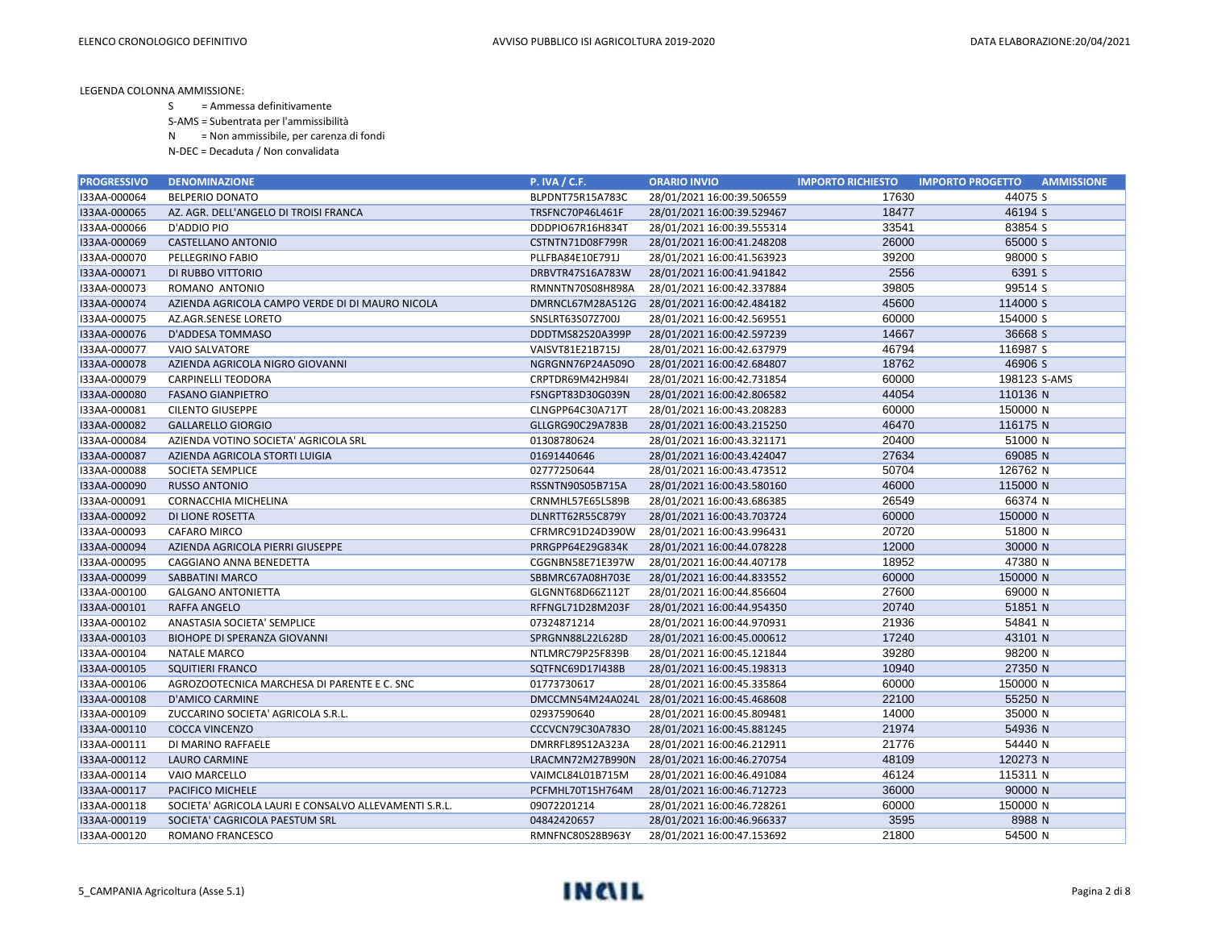- S = Ammessa definitivamente
- S-AMS = Subentrata per l'ammissibilità
- N = Non ammissibile, per carenza di fondi
- N-DEC = Decaduta / Non convalidata

| <b>PROGRESSIVO</b> | <b>DENOMINAZIONE</b>                                  | <b>P. IVA / C.F.</b> | <b>ORARIO INVIO</b>        | <b>IMPORTO RICHIESTO</b> | <b>IMPORTO PROGETTO</b><br><b>AMMISSIONE</b> |
|--------------------|-------------------------------------------------------|----------------------|----------------------------|--------------------------|----------------------------------------------|
| I33AA-000064       | <b>BELPERIO DONATO</b>                                | BLPDNT75R15A783C     | 28/01/2021 16:00:39.506559 | 17630                    | 44075 S                                      |
| I33AA-000065       | AZ. AGR. DELL'ANGELO DI TROISI FRANCA                 | TRSFNC70P46L461F     | 28/01/2021 16:00:39.529467 | 18477                    | 46194 S                                      |
| I33AA-000066       | D'ADDIO PIO                                           | DDDPIO67R16H834T     | 28/01/2021 16:00:39.555314 | 33541                    | 83854 S                                      |
| I33AA-000069       | CASTELLANO ANTONIO                                    | CSTNTN71D08F799R     | 28/01/2021 16:00:41.248208 | 26000                    | 65000 S                                      |
| I33AA-000070       | PELLEGRINO FABIO                                      | PLLFBA84E10E791J     | 28/01/2021 16:00:41.563923 | 39200                    | 98000 S                                      |
| I33AA-000071       | DI RUBBO VITTORIO                                     | DRBVTR47S16A783W     | 28/01/2021 16:00:41.941842 | 2556                     | 6391 S                                       |
| I33AA-000073       | ROMANO ANTONIO                                        | RMNNTN70S08H898A     | 28/01/2021 16:00:42.337884 | 39805                    | 99514 S                                      |
| I33AA-000074       | AZIENDA AGRICOLA CAMPO VERDE DI DI MAURO NICOLA       | DMRNCL67M28A512G     | 28/01/2021 16:00:42.484182 | 45600                    | 114000 S                                     |
| I33AA-000075       | AZ.AGR.SENESE LORETO                                  | SNSLRT63S07Z700J     | 28/01/2021 16:00:42.569551 | 60000                    | 154000 S                                     |
| I33AA-000076       | D'ADDESA TOMMASO                                      | DDDTMS82S20A399P     | 28/01/2021 16:00:42.597239 | 14667                    | 36668 S                                      |
| I33AA-000077       | <b>VAIO SALVATORE</b>                                 | VAISVT81E21B715J     | 28/01/2021 16:00:42.637979 | 46794                    | 116987 S                                     |
| I33AA-000078       | AZIENDA AGRICOLA NIGRO GIOVANNI                       | NGRGNN76P24A509O     | 28/01/2021 16:00:42.684807 | 18762                    | 46906 S                                      |
| I33AA-000079       | <b>CARPINELLI TEODORA</b>                             | CRPTDR69M42H984I     | 28/01/2021 16:00:42.731854 | 60000                    | 198123 S-AMS                                 |
| I33AA-000080       | <b>FASANO GIANPIETRO</b>                              | FSNGPT83D30G039N     | 28/01/2021 16:00:42.806582 | 44054                    | 110136 N                                     |
| I33AA-000081       | <b>CILENTO GIUSEPPE</b>                               | CLNGPP64C30A717T     | 28/01/2021 16:00:43.208283 | 60000                    | 150000 N                                     |
| I33AA-000082       | <b>GALLARELLO GIORGIO</b>                             | GLLGRG90C29A783B     | 28/01/2021 16:00:43.215250 | 46470                    | 116175 N                                     |
| I33AA-000084       | AZIENDA VOTINO SOCIETA' AGRICOLA SRL                  | 01308780624          | 28/01/2021 16:00:43.321171 | 20400                    | 51000 N                                      |
| I33AA-000087       | AZIENDA AGRICOLA STORTI LUIGIA                        | 01691440646          | 28/01/2021 16:00:43.424047 | 27634                    | 69085 N                                      |
| I33AA-000088       | SOCIETA SEMPLICE                                      | 02777250644          | 28/01/2021 16:00:43.473512 | 50704                    | 126762 N                                     |
| I33AA-000090       | <b>RUSSO ANTONIO</b>                                  | RSSNTN90S05B715A     | 28/01/2021 16:00:43.580160 | 46000                    | 115000 N                                     |
| I33AA-000091       | CORNACCHIA MICHELINA                                  | CRNMHL57E65L589B     | 28/01/2021 16:00:43.686385 | 26549                    | 66374 N                                      |
| I33AA-000092       | DI LIONE ROSETTA                                      | DLNRTT62R55C879Y     | 28/01/2021 16:00:43.703724 | 60000                    | 150000 N                                     |
| I33AA-000093       | CAFARO MIRCO                                          | CFRMRC91D24D390W     | 28/01/2021 16:00:43.996431 | 20720                    | 51800 N                                      |
| I33AA-000094       | AZIENDA AGRICOLA PIERRI GIUSEPPE                      | PRRGPP64E29G834K     | 28/01/2021 16:00:44.078228 | 12000                    | 30000 N                                      |
| I33AA-000095       | CAGGIANO ANNA BENEDETTA                               | CGGNBN58E71E397W     | 28/01/2021 16:00:44.407178 | 18952                    | 47380 N                                      |
| I33AA-000099       | SABBATINI MARCO                                       | SBBMRC67A08H703E     | 28/01/2021 16:00:44.833552 | 60000                    | 150000 N                                     |
| I33AA-000100       | <b>GALGANO ANTONIETTA</b>                             | GLGNNT68D66Z112T     | 28/01/2021 16:00:44.856604 | 27600                    | 69000 N                                      |
| I33AA-000101       | <b>RAFFA ANGELO</b>                                   | RFFNGL71D28M203F     | 28/01/2021 16:00:44.954350 | 20740                    | 51851 N                                      |
| I33AA-000102       | ANASTASIA SOCIETA' SEMPLICE                           | 07324871214          | 28/01/2021 16:00:44.970931 | 21936                    | 54841 N                                      |
| I33AA-000103       | <b>BIOHOPE DI SPERANZA GIOVANNI</b>                   | SPRGNN88L22L628D     | 28/01/2021 16:00:45.000612 | 17240                    | 43101 N                                      |
| I33AA-000104       | <b>NATALE MARCO</b>                                   | NTLMRC79P25F839B     | 28/01/2021 16:00:45.121844 | 39280                    | 98200 N                                      |
| I33AA-000105       | <b>SQUITIERI FRANCO</b>                               | SQTFNC69D17I438B     | 28/01/2021 16:00:45.198313 | 10940                    | 27350 N                                      |
| I33AA-000106       | AGROZOOTECNICA MARCHESA DI PARENTE E C. SNC           | 01773730617          | 28/01/2021 16:00:45.335864 | 60000                    | 150000 N                                     |
| I33AA-000108       | <b>D'AMICO CARMINE</b>                                | DMCCMN54M24A024L     | 28/01/2021 16:00:45.468608 | 22100                    | 55250 N                                      |
| I33AA-000109       | ZUCCARINO SOCIETA' AGRICOLA S.R.L.                    | 02937590640          | 28/01/2021 16:00:45.809481 | 14000                    | 35000 N                                      |
| I33AA-000110       | <b>COCCA VINCENZO</b>                                 | CCCVCN79C30A783O     | 28/01/2021 16:00:45.881245 | 21974                    | 54936 N                                      |
| I33AA-000111       | DI MARINO RAFFAELE                                    | DMRRFL89S12A323A     | 28/01/2021 16:00:46.212911 | 21776                    | 54440 N                                      |
| I33AA-000112       | <b>LAURO CARMINE</b>                                  | LRACMN72M27B990N     | 28/01/2021 16:00:46.270754 | 48109                    | 120273 N                                     |
| I33AA-000114       | VAIO MARCELLO                                         | VAIMCL84L01B715M     | 28/01/2021 16:00:46.491084 | 46124                    | 115311 N                                     |
| I33AA-000117       | PACIFICO MICHELE                                      | PCFMHL70T15H764M     | 28/01/2021 16:00:46.712723 | 36000                    | 90000 N                                      |
| I33AA-000118       | SOCIETA' AGRICOLA LAURI E CONSALVO ALLEVAMENTI S.R.L. | 09072201214          | 28/01/2021 16:00:46.728261 | 60000                    | 150000 N                                     |
| I33AA-000119       | SOCIETA' CAGRICOLA PAESTUM SRL                        | 04842420657          | 28/01/2021 16:00:46.966337 | 3595                     | 8988 N                                       |
| I33AA-000120       | ROMANO FRANCESCO                                      | RMNFNC80S28B963Y     | 28/01/2021 16:00:47.153692 | 21800                    | 54500 N                                      |

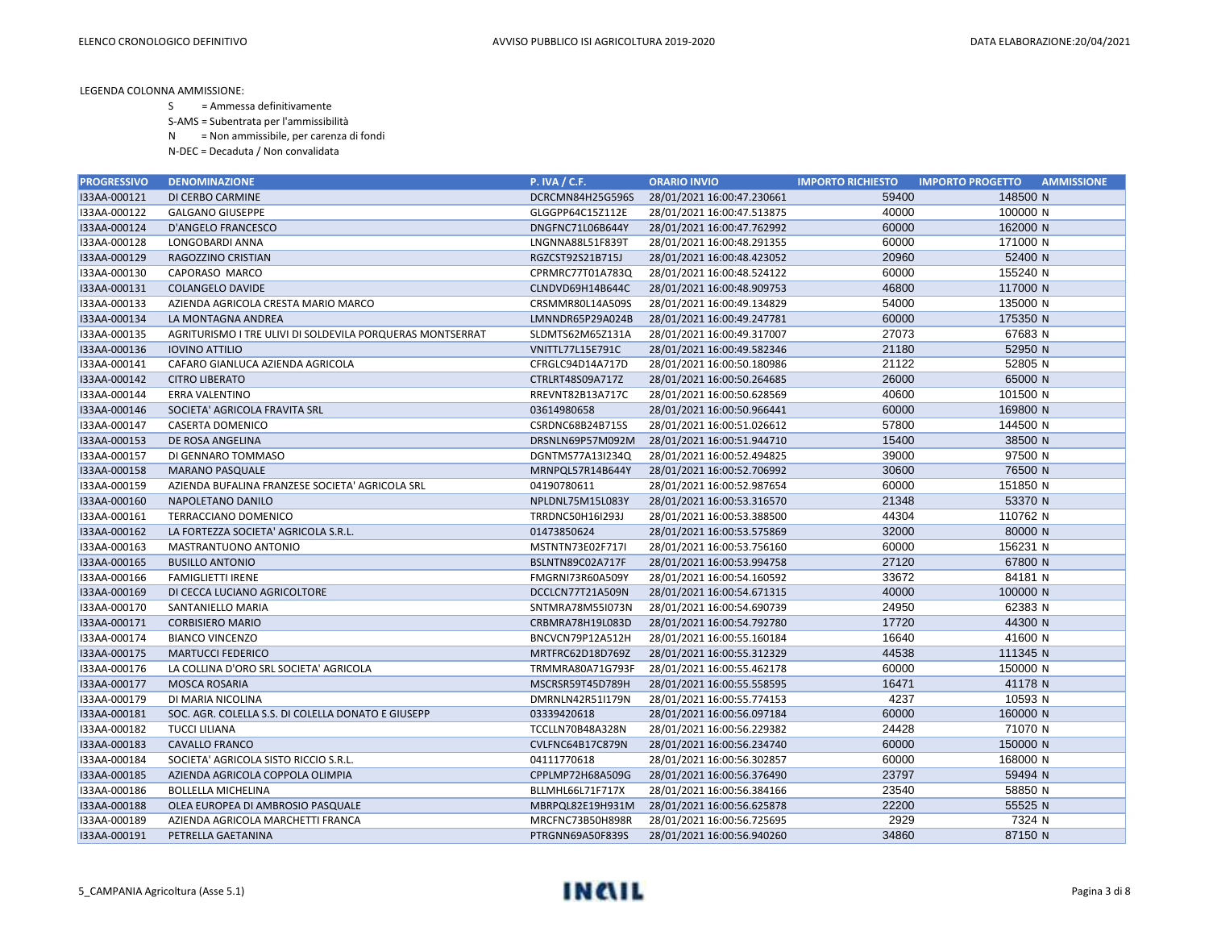- S = Ammessa definitivamente
- S-AMS = Subentrata per l'ammissibilità
- N = Non ammissibile, per carenza di fondi
- N-DEC = Decaduta / Non convalidata

| <b>PROGRESSIVO</b> | <b>DENOMINAZIONE</b>                                      | <b>P. IVA / C.F.</b>    | <b>ORARIO INVIO</b>        | <b>IMPORTO RICHIESTO</b> | <b>IMPORTO PROGETTO</b><br><b>AMMISSIONE</b> |
|--------------------|-----------------------------------------------------------|-------------------------|----------------------------|--------------------------|----------------------------------------------|
| I33AA-000121       | DI CERBO CARMINE                                          | DCRCMN84H25G596S        | 28/01/2021 16:00:47.230661 | 59400                    | 148500 N                                     |
| I33AA-000122       | <b>GALGANO GIUSEPPE</b>                                   | GLGGPP64C15Z112E        | 28/01/2021 16:00:47.513875 | 40000                    | 100000 N                                     |
| I33AA-000124       | D'ANGELO FRANCESCO                                        | DNGFNC71L06B644Y        | 28/01/2021 16:00:47.762992 | 60000                    | 162000 N                                     |
| I33AA-000128       | LONGOBARDI ANNA                                           | LNGNNA88L51F839T        | 28/01/2021 16:00:48.291355 | 60000                    | 171000 N                                     |
| I33AA-000129       | RAGOZZINO CRISTIAN                                        | RGZCST92S21B715J        | 28/01/2021 16:00:48.423052 | 20960                    | 52400 N                                      |
| I33AA-000130       | CAPORASO MARCO                                            | CPRMRC77T01A783Q        | 28/01/2021 16:00:48.524122 | 60000                    | 155240 N                                     |
| I33AA-000131       | <b>COLANGELO DAVIDE</b>                                   | CLNDVD69H14B644C        | 28/01/2021 16:00:48.909753 | 46800                    | 117000 N                                     |
| I33AA-000133       | AZIENDA AGRICOLA CRESTA MARIO MARCO                       | CRSMMR80L14A509S        | 28/01/2021 16:00:49.134829 | 54000                    | 135000 N                                     |
| I33AA-000134       | LA MONTAGNA ANDREA                                        | LMNNDR65P29A024B        | 28/01/2021 16:00:49.247781 | 60000                    | 175350 N                                     |
| I33AA-000135       | AGRITURISMO I TRE ULIVI DI SOLDEVILA PORQUERAS MONTSERRAT | SLDMTS62M65Z131A        | 28/01/2021 16:00:49.317007 | 27073                    | 67683 N                                      |
| I33AA-000136       | <b>IOVINO ATTILIO</b>                                     | <b>VNITTL77L15E791C</b> | 28/01/2021 16:00:49.582346 | 21180                    | 52950 N                                      |
| I33AA-000141       | CAFARO GIANLUCA AZIENDA AGRICOLA                          | CFRGLC94D14A717D        | 28/01/2021 16:00:50.180986 | 21122                    | 52805 N                                      |
| I33AA-000142       | <b>CITRO LIBERATO</b>                                     | CTRLRT48S09A717Z        | 28/01/2021 16:00:50.264685 | 26000                    | 65000 N                                      |
| I33AA-000144       | <b>ERRA VALENTINO</b>                                     | RREVNT82B13A717C        | 28/01/2021 16:00:50.628569 | 40600                    | 101500 N                                     |
| I33AA-000146       | SOCIETA' AGRICOLA FRAVITA SRL                             | 03614980658             | 28/01/2021 16:00:50.966441 | 60000                    | 169800 N                                     |
| I33AA-000147       | <b>CASERTA DOMENICO</b>                                   | CSRDNC68B24B715S        | 28/01/2021 16:00:51.026612 | 57800                    | 144500 N                                     |
| I33AA-000153       | DE ROSA ANGELINA                                          | DRSNLN69P57M092M        | 28/01/2021 16:00:51.944710 | 15400                    | 38500 N                                      |
| I33AA-000157       | DI GENNARO TOMMASO                                        | DGNTMS77A13I234Q        | 28/01/2021 16:00:52.494825 | 39000                    | 97500 N                                      |
| I33AA-000158       | <b>MARANO PASQUALE</b>                                    | MRNPQL57R14B644Y        | 28/01/2021 16:00:52.706992 | 30600                    | 76500 N                                      |
| I33AA-000159       | AZIENDA BUFALINA FRANZESE SOCIETA' AGRICOLA SRL           | 04190780611             | 28/01/2021 16:00:52.987654 | 60000                    | 151850 N                                     |
| I33AA-000160       | NAPOLETANO DANILO                                         | NPLDNL75M15L083Y        | 28/01/2021 16:00:53.316570 | 21348                    | 53370 N                                      |
| I33AA-000161       | TERRACCIANO DOMENICO                                      | TRRDNC50H16I293J        | 28/01/2021 16:00:53.388500 | 44304                    | 110762 N                                     |
| I33AA-000162       | LA FORTEZZA SOCIETA' AGRICOLA S.R.L.                      | 01473850624             | 28/01/2021 16:00:53.575869 | 32000                    | 80000 N                                      |
| I33AA-000163       | MASTRANTUONO ANTONIO                                      | MSTNTN73E02F717I        | 28/01/2021 16:00:53.756160 | 60000                    | 156231 N                                     |
| I33AA-000165       | <b>BUSILLO ANTONIO</b>                                    | BSLNTN89C02A717F        | 28/01/2021 16:00:53.994758 | 27120                    | 67800 N                                      |
| I33AA-000166       | <b>FAMIGLIETTI IRENE</b>                                  | FMGRNI73R60A509Y        | 28/01/2021 16:00:54.160592 | 33672                    | 84181 N                                      |
| I33AA-000169       | DI CECCA LUCIANO AGRICOLTORE                              | DCCLCN77T21A509N        | 28/01/2021 16:00:54.671315 | 40000                    | 100000 N                                     |
| I33AA-000170       | SANTANIELLO MARIA                                         | SNTMRA78M55I073N        | 28/01/2021 16:00:54.690739 | 24950                    | 62383 N                                      |
| I33AA-000171       | <b>CORBISIERO MARIO</b>                                   | CRBMRA78H19L083D        | 28/01/2021 16:00:54.792780 | 17720                    | 44300 N                                      |
| I33AA-000174       | <b>BIANCO VINCENZO</b>                                    | BNCVCN79P12A512H        | 28/01/2021 16:00:55.160184 | 16640                    | 41600 N                                      |
| I33AA-000175       | <b>MARTUCCI FEDERICO</b>                                  | MRTFRC62D18D769Z        | 28/01/2021 16:00:55.312329 | 44538                    | 111345 N                                     |
| I33AA-000176       | LA COLLINA D'ORO SRL SOCIETA' AGRICOLA                    | TRMMRA80A71G793F        | 28/01/2021 16:00:55.462178 | 60000                    | 150000 N                                     |
| I33AA-000177       | <b>MOSCA ROSARIA</b>                                      | MSCRSR59T45D789H        | 28/01/2021 16:00:55.558595 | 16471                    | 41178 N                                      |
| I33AA-000179       | DI MARIA NICOLINA                                         | DMRNLN42R51I179N        | 28/01/2021 16:00:55.774153 | 4237                     | 10593 N                                      |
| I33AA-000181       | SOC. AGR. COLELLA S.S. DI COLELLA DONATO E GIUSEPP        | 03339420618             | 28/01/2021 16:00:56.097184 | 60000                    | 160000 N                                     |
| I33AA-000182       | <b>TUCCI LILIANA</b>                                      | TCCLLN70B48A328N        | 28/01/2021 16:00:56.229382 | 24428                    | 71070 N                                      |
| I33AA-000183       | <b>CAVALLO FRANCO</b>                                     | CVLFNC64B17C879N        | 28/01/2021 16:00:56.234740 | 60000                    | 150000 N                                     |
| I33AA-000184       | SOCIETA' AGRICOLA SISTO RICCIO S.R.L.                     | 04111770618             | 28/01/2021 16:00:56.302857 | 60000                    | 168000 N                                     |
| I33AA-000185       | AZIENDA AGRICOLA COPPOLA OLIMPIA                          | CPPLMP72H68A509G        | 28/01/2021 16:00:56.376490 | 23797                    | 59494 N                                      |
| I33AA-000186       | <b>BOLLELLA MICHELINA</b>                                 | BLLMHL66L71F717X        | 28/01/2021 16:00:56.384166 | 23540                    | 58850 N                                      |
| I33AA-000188       | OLEA EUROPEA DI AMBROSIO PASQUALE                         | MBRPQL82E19H931M        | 28/01/2021 16:00:56.625878 | 22200                    | 55525 N                                      |
| I33AA-000189       | AZIENDA AGRICOLA MARCHETTI FRANCA                         | MRCFNC73B50H898R        | 28/01/2021 16:00:56.725695 | 2929                     | 7324 N                                       |
| I33AA-000191       | PETRELLA GAETANINA                                        | PTRGNN69A50F839S        | 28/01/2021 16:00:56.940260 | 34860                    | 87150 N                                      |

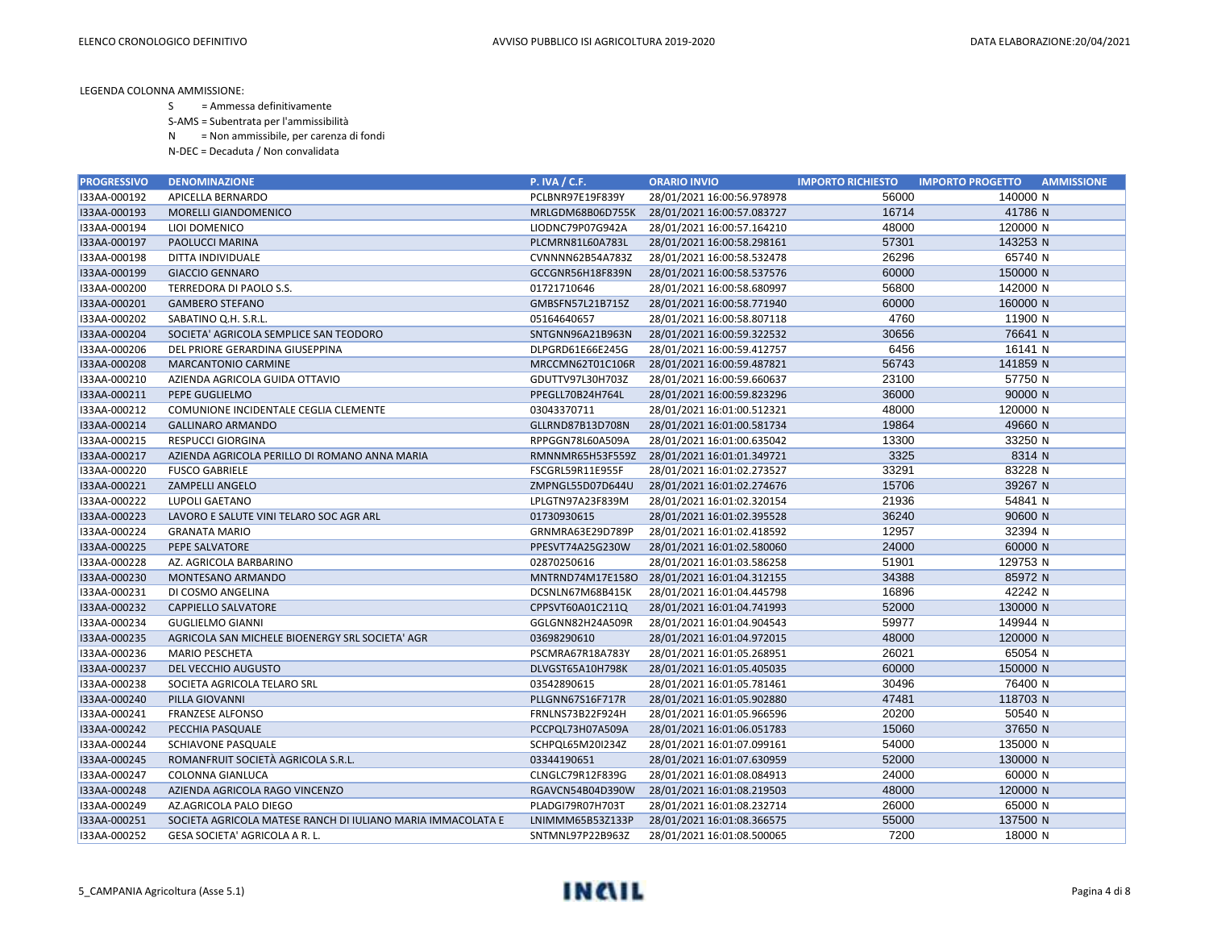- S = Ammessa definitivamente
- S-AMS = Subentrata per l'ammissibilità
- N = Non ammissibile, per carenza di fondi
- N-DEC = Decaduta / Non convalidata

| <b>PROGRESSIVO</b> | <b>DENOMINAZIONE</b>                                        | <b>P. IVA / C.F.</b> | <b>ORARIO INVIO</b>        | <b>IMPORTO RICHIESTO</b> | <b>IMPORTO PROGETTO</b><br><b>AMMISSIONE</b> |
|--------------------|-------------------------------------------------------------|----------------------|----------------------------|--------------------------|----------------------------------------------|
| I33AA-000192       | APICELLA BERNARDO                                           | PCLBNR97E19F839Y     | 28/01/2021 16:00:56.978978 | 56000                    | 140000 N                                     |
| I33AA-000193       | <b>MORELLI GIANDOMENICO</b>                                 | MRLGDM68B06D755K     | 28/01/2021 16:00:57.083727 | 16714                    | 41786 N                                      |
| I33AA-000194       | LIOI DOMENICO                                               | LIODNC79P07G942A     | 28/01/2021 16:00:57.164210 | 48000                    | 120000 N                                     |
| I33AA-000197       | PAOLUCCI MARINA                                             | PLCMRN81L60A783L     | 28/01/2021 16:00:58.298161 | 57301                    | 143253 N                                     |
| I33AA-000198       | DITTA INDIVIDUALE                                           | CVNNNN62B54A783Z     | 28/01/2021 16:00:58.532478 | 26296                    | 65740 N                                      |
| I33AA-000199       | <b>GIACCIO GENNARO</b>                                      | GCCGNR56H18F839N     | 28/01/2021 16:00:58.537576 | 60000                    | 150000 N                                     |
| I33AA-000200       | TERREDORA DI PAOLO S.S.                                     | 01721710646          | 28/01/2021 16:00:58.680997 | 56800                    | 142000 N                                     |
| I33AA-000201       | <b>GAMBERO STEFANO</b>                                      | GMBSFN57L21B715Z     | 28/01/2021 16:00:58.771940 | 60000                    | 160000 N                                     |
| I33AA-000202       | SABATINO Q.H. S.R.L.                                        | 05164640657          | 28/01/2021 16:00:58.807118 | 4760                     | 11900 N                                      |
| I33AA-000204       | SOCIETA' AGRICOLA SEMPLICE SAN TEODORO                      | SNTGNN96A21B963N     | 28/01/2021 16:00:59.322532 | 30656                    | 76641 N                                      |
| I33AA-000206       | DEL PRIORE GERARDINA GIUSEPPINA                             | DLPGRD61E66E245G     | 28/01/2021 16:00:59.412757 | 6456                     | 16141 N                                      |
| I33AA-000208       | <b>MARCANTONIO CARMINE</b>                                  | MRCCMN62T01C106R     | 28/01/2021 16:00:59.487821 | 56743                    | 141859 N                                     |
| I33AA-000210       | AZIENDA AGRICOLA GUIDA OTTAVIO                              | GDUTTV97L30H703Z     | 28/01/2021 16:00:59.660637 | 23100                    | 57750 N                                      |
| I33AA-000211       | PEPE GUGLIELMO                                              | PPEGLL70B24H764L     | 28/01/2021 16:00:59.823296 | 36000                    | 90000 N                                      |
| I33AA-000212       | COMUNIONE INCIDENTALE CEGLIA CLEMENTE                       | 03043370711          | 28/01/2021 16:01:00.512321 | 48000                    | 120000 N                                     |
| I33AA-000214       | <b>GALLINARO ARMANDO</b>                                    | GLLRND87B13D708N     | 28/01/2021 16:01:00.581734 | 19864                    | 49660 N                                      |
| I33AA-000215       | <b>RESPUCCI GIORGINA</b>                                    | RPPGGN78L60A509A     | 28/01/2021 16:01:00.635042 | 13300                    | 33250 N                                      |
| I33AA-000217       | AZIENDA AGRICOLA PERILLO DI ROMANO ANNA MARIA               | RMNNMR65H53F559Z     | 28/01/2021 16:01:01.349721 | 3325                     | 8314 N                                       |
| I33AA-000220       | <b>FUSCO GABRIELE</b>                                       | FSCGRL59R11E955F     | 28/01/2021 16:01:02.273527 | 33291                    | 83228 N                                      |
| I33AA-000221       | <b>ZAMPELLI ANGELO</b>                                      | ZMPNGL55D07D644U     | 28/01/2021 16:01:02.274676 | 15706                    | 39267 N                                      |
| I33AA-000222       | <b>LUPOLI GAETANO</b>                                       | LPLGTN97A23F839M     | 28/01/2021 16:01:02.320154 | 21936                    | 54841 N                                      |
| I33AA-000223       | LAVORO E SALUTE VINI TELARO SOC AGR ARL                     | 01730930615          | 28/01/2021 16:01:02.395528 | 36240                    | 90600 N                                      |
| I33AA-000224       | <b>GRANATA MARIO</b>                                        | GRNMRA63E29D789P     | 28/01/2021 16:01:02.418592 | 12957                    | 32394 N                                      |
| I33AA-000225       | PEPE SALVATORE                                              | PPESVT74A25G230W     | 28/01/2021 16:01:02.580060 | 24000                    | 60000 N                                      |
| I33AA-000228       | AZ. AGRICOLA BARBARINO                                      | 02870250616          | 28/01/2021 16:01:03.586258 | 51901                    | 129753 N                                     |
| I33AA-000230       | MONTESANO ARMANDO                                           | MNTRND74M17E158O     | 28/01/2021 16:01:04.312155 | 34388                    | 85972 N                                      |
| I33AA-000231       | DI COSMO ANGELINA                                           | DCSNLN67M68B415K     | 28/01/2021 16:01:04.445798 | 16896                    | 42242 N                                      |
| I33AA-000232       | <b>CAPPIELLO SALVATORE</b>                                  | CPPSVT60A01C211Q     | 28/01/2021 16:01:04.741993 | 52000                    | 130000 N                                     |
| I33AA-000234       | <b>GUGLIELMO GIANNI</b>                                     | GGLGNN82H24A509R     | 28/01/2021 16:01:04.904543 | 59977                    | 149944 N                                     |
| I33AA-000235       | AGRICOLA SAN MICHELE BIOENERGY SRL SOCIETA' AGR             | 03698290610          | 28/01/2021 16:01:04.972015 | 48000                    | 120000 N                                     |
| I33AA-000236       | <b>MARIO PESCHETA</b>                                       | PSCMRA67R18A783Y     | 28/01/2021 16:01:05.268951 | 26021                    | 65054 N                                      |
| I33AA-000237       | DEL VECCHIO AUGUSTO                                         | DLVGST65A10H798K     | 28/01/2021 16:01:05.405035 | 60000                    | 150000 N                                     |
| I33AA-000238       | SOCIETA AGRICOLA TELARO SRL                                 | 03542890615          | 28/01/2021 16:01:05.781461 | 30496                    | 76400 N                                      |
| I33AA-000240       | PILLA GIOVANNI                                              | PLLGNN67S16F717R     | 28/01/2021 16:01:05.902880 | 47481                    | 118703 N                                     |
| I33AA-000241       | <b>FRANZESE ALFONSO</b>                                     | FRNLNS73B22F924H     | 28/01/2021 16:01:05.966596 | 20200                    | 50540 N                                      |
| I33AA-000242       | PECCHIA PASQUALE                                            | PCCPQL73H07A509A     | 28/01/2021 16:01:06.051783 | 15060                    | 37650 N                                      |
| I33AA-000244       | SCHIAVONE PASQUALE                                          | SCHPQL65M20I234Z     | 28/01/2021 16:01:07.099161 | 54000                    | 135000 N                                     |
| I33AA-000245       | ROMANFRUIT SOCIETÀ AGRICOLA S.R.L.                          | 03344190651          | 28/01/2021 16:01:07.630959 | 52000                    | 130000 N                                     |
| I33AA-000247       | COLONNA GIANLUCA                                            | CLNGLC79R12F839G     | 28/01/2021 16:01:08.084913 | 24000                    | 60000 N                                      |
| I33AA-000248       | AZIENDA AGRICOLA RAGO VINCENZO                              | RGAVCN54B04D390W     | 28/01/2021 16:01:08.219503 | 48000                    | 120000 N                                     |
| I33AA-000249       | AZ.AGRICOLA PALO DIEGO                                      | PLADGI79R07H703T     | 28/01/2021 16:01:08.232714 | 26000                    | 65000 N                                      |
| I33AA-000251       | SOCIETA AGRICOLA MATESE RANCH DI IULIANO MARIA IMMACOLATA E | LNIMMM65B53Z133P     | 28/01/2021 16:01:08.366575 | 55000                    | 137500 N                                     |
| I33AA-000252       | GESA SOCIETA' AGRICOLA A R. L.                              | SNTMNL97P22B963Z     | 28/01/2021 16:01:08.500065 | 7200                     | 18000 N                                      |

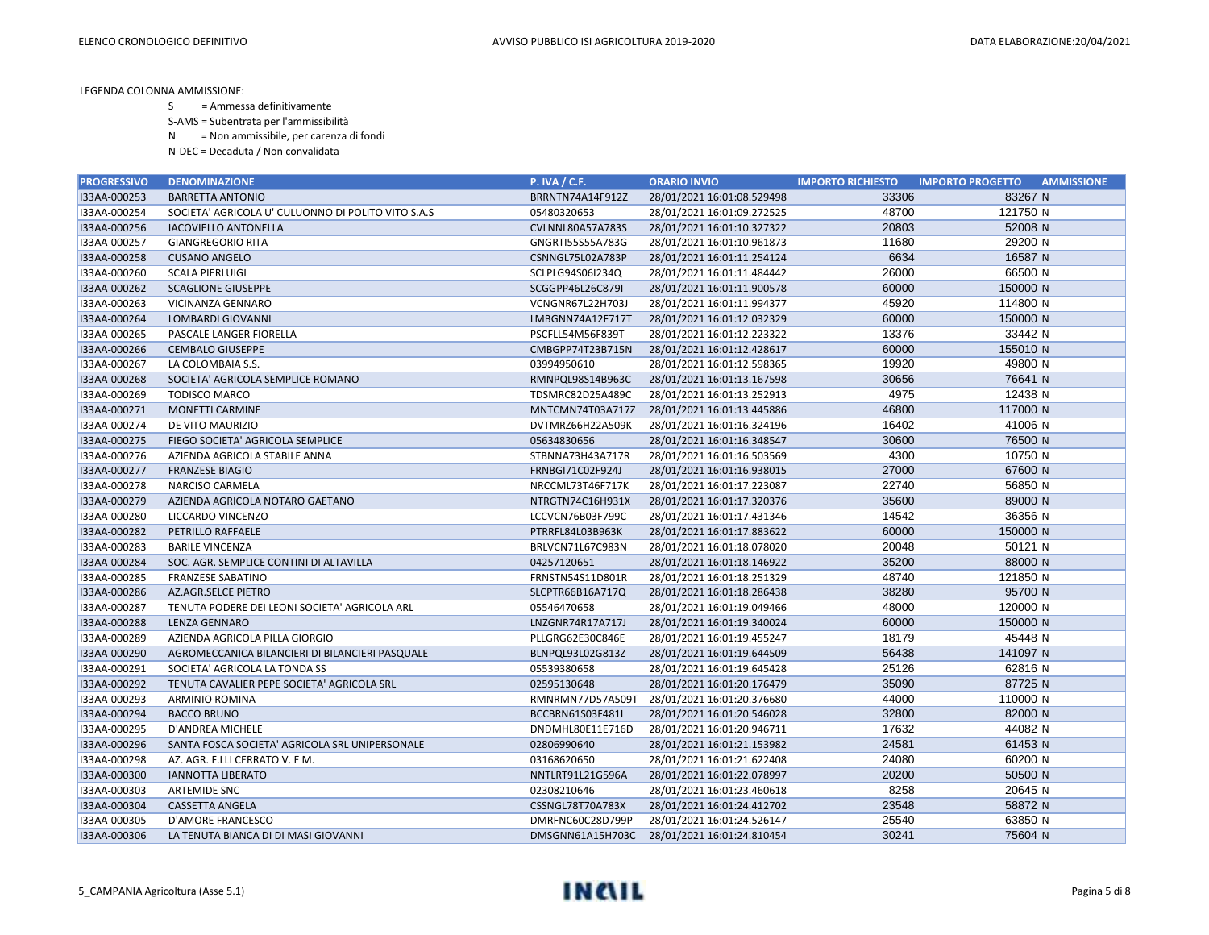- S = Ammessa definitivamente
- S-AMS = Subentrata per l'ammissibilità
- N = Non ammissibile, per carenza di fondi
- N-DEC = Decaduta / Non convalidata

| <b>PROGRESSIVO</b> | <b>DENOMINAZIONE</b>                               | <b>P. IVA / C.F.</b>    | <b>ORARIO INVIO</b>        | <b>IMPORTO RICHIESTO</b> | <b>AMMISSIONE</b><br><b>IMPORTO PROGETTO</b> |
|--------------------|----------------------------------------------------|-------------------------|----------------------------|--------------------------|----------------------------------------------|
| I33AA-000253       | <b>BARRETTA ANTONIO</b>                            | BRRNTN74A14F912Z        | 28/01/2021 16:01:08.529498 | 33306                    | 83267 N                                      |
| I33AA-000254       | SOCIETA' AGRICOLA U' CULUONNO DI POLITO VITO S.A.S | 05480320653             | 28/01/2021 16:01:09.272525 | 48700                    | 121750 N                                     |
| I33AA-000256       | <b>IACOVIELLO ANTONELLA</b>                        | <b>CVLNNL80A57A783S</b> | 28/01/2021 16:01:10.327322 | 20803                    | 52008 N                                      |
| I33AA-000257       | <b>GIANGREGORIO RITA</b>                           | GNGRTI55S55A783G        | 28/01/2021 16:01:10.961873 | 11680                    | 29200 N                                      |
| I33AA-000258       | <b>CUSANO ANGELO</b>                               | CSNNGL75L02A783P        | 28/01/2021 16:01:11.254124 | 6634                     | 16587 N                                      |
| I33AA-000260       | <b>SCALA PIERLUIGI</b>                             | SCLPLG94S06I234Q        | 28/01/2021 16:01:11.484442 | 26000                    | 66500 N                                      |
| I33AA-000262       | <b>SCAGLIONE GIUSEPPE</b>                          | SCGGPP46L26C879I        | 28/01/2021 16:01:11.900578 | 60000                    | 150000 N                                     |
| I33AA-000263       | VICINANZA GENNARO                                  | <b>VCNGNR67L22H703J</b> | 28/01/2021 16:01:11.994377 | 45920                    | 114800 N                                     |
| I33AA-000264       | <b>LOMBARDI GIOVANNI</b>                           | LMBGNN74A12F717T        | 28/01/2021 16:01:12.032329 | 60000                    | 150000 N                                     |
| I33AA-000265       | PASCALE LANGER FIORELLA                            | PSCFLL54M56F839T        | 28/01/2021 16:01:12.223322 | 13376                    | 33442 N                                      |
| I33AA-000266       | <b>CEMBALO GIUSEPPE</b>                            | CMBGPP74T23B715N        | 28/01/2021 16:01:12.428617 | 60000                    | 155010 N                                     |
| I33AA-000267       | LA COLOMBAIA S.S.                                  | 03994950610             | 28/01/2021 16:01:12.598365 | 19920                    | 49800 N                                      |
| I33AA-000268       | SOCIETA' AGRICOLA SEMPLICE ROMANO                  | RMNPQL98S14B963C        | 28/01/2021 16:01:13.167598 | 30656                    | 76641 N                                      |
| I33AA-000269       | <b>TODISCO MARCO</b>                               | TDSMRC82D25A489C        | 28/01/2021 16:01:13.252913 | 4975                     | 12438 N                                      |
| I33AA-000271       | <b>MONETTI CARMINE</b>                             | MNTCMN74T03A717Z        | 28/01/2021 16:01:13.445886 | 46800                    | 117000 N                                     |
| I33AA-000274       | DE VITO MAURIZIO                                   | DVTMRZ66H22A509K        | 28/01/2021 16:01:16.324196 | 16402                    | 41006 N                                      |
| I33AA-000275       | FIEGO SOCIETA' AGRICOLA SEMPLICE                   | 05634830656             | 28/01/2021 16:01:16.348547 | 30600                    | 76500 N                                      |
| I33AA-000276       | AZIENDA AGRICOLA STABILE ANNA                      | STBNNA73H43A717R        | 28/01/2021 16:01:16.503569 | 4300                     | 10750 N                                      |
| I33AA-000277       | <b>FRANZESE BIAGIO</b>                             | FRNBGI71C02F924J        | 28/01/2021 16:01:16.938015 | 27000                    | 67600 N                                      |
| I33AA-000278       | NARCISO CARMELA                                    | NRCCML73T46F717K        | 28/01/2021 16:01:17.223087 | 22740                    | 56850 N                                      |
| I33AA-000279       | AZIENDA AGRICOLA NOTARO GAETANO                    | NTRGTN74C16H931X        | 28/01/2021 16:01:17.320376 | 35600                    | 89000 N                                      |
| I33AA-000280       | LICCARDO VINCENZO                                  | LCCVCN76B03F799C        | 28/01/2021 16:01:17.431346 | 14542                    | 36356 N                                      |
| I33AA-000282       | PETRILLO RAFFAELE                                  | PTRRFL84L03B963K        | 28/01/2021 16:01:17.883622 | 60000                    | 150000 N                                     |
| I33AA-000283       | <b>BARILE VINCENZA</b>                             | BRLVCN71L67C983N        | 28/01/2021 16:01:18.078020 | 20048                    | 50121 N                                      |
| I33AA-000284       | SOC. AGR. SEMPLICE CONTINI DI ALTAVILLA            | 04257120651             | 28/01/2021 16:01:18.146922 | 35200                    | 88000 N                                      |
| I33AA-000285       | <b>FRANZESE SABATINO</b>                           | FRNSTN54S11D801R        | 28/01/2021 16:01:18.251329 | 48740                    | 121850 N                                     |
| I33AA-000286       | AZ.AGR.SELCE PIETRO                                | SLCPTR66B16A717Q        | 28/01/2021 16:01:18.286438 | 38280                    | 95700 N                                      |
| I33AA-000287       | TENUTA PODERE DEI LEONI SOCIETA' AGRICOLA ARL      | 05546470658             | 28/01/2021 16:01:19.049466 | 48000                    | 120000 N                                     |
| I33AA-000288       | <b>LENZA GENNARO</b>                               | LNZGNR74R17A717J        | 28/01/2021 16:01:19.340024 | 60000                    | 150000 N                                     |
| I33AA-000289       | AZIENDA AGRICOLA PILLA GIORGIO                     | PLLGRG62E30C846E        | 28/01/2021 16:01:19.455247 | 18179                    | 45448 N                                      |
| I33AA-000290       | AGROMECCANICA BILANCIERI DI BILANCIERI PASQUALE    | BLNPQL93L02G813Z        | 28/01/2021 16:01:19.644509 | 56438                    | 141097 N                                     |
| I33AA-000291       | SOCIETA' AGRICOLA LA TONDA SS                      | 05539380658             | 28/01/2021 16:01:19.645428 | 25126                    | 62816 N                                      |
| I33AA-000292       | TENUTA CAVALIER PEPE SOCIETA' AGRICOLA SRL         | 02595130648             | 28/01/2021 16:01:20.176479 | 35090                    | 87725 N                                      |
| I33AA-000293       | ARMINIO ROMINA                                     | RMNRMN77D57A509T        | 28/01/2021 16:01:20.376680 | 44000                    | 110000 N                                     |
| I33AA-000294       | <b>BACCO BRUNO</b>                                 | BCCBRN61S03F481I        | 28/01/2021 16:01:20.546028 | 32800                    | 82000 N                                      |
| I33AA-000295       | <b>D'ANDREA MICHELE</b>                            | DNDMHL80E11E716D        | 28/01/2021 16:01:20.946711 | 17632                    | 44082 N                                      |
| I33AA-000296       | SANTA FOSCA SOCIETA' AGRICOLA SRL UNIPERSONALE     | 02806990640             | 28/01/2021 16:01:21.153982 | 24581                    | 61453 N                                      |
| I33AA-000298       | AZ. AGR. F.LLI CERRATO V. E M.                     | 03168620650             | 28/01/2021 16:01:21.622408 | 24080                    | 60200 N                                      |
| I33AA-000300       | <b>IANNOTTA LIBERATO</b>                           | NNTLRT91L21G596A        | 28/01/2021 16:01:22.078997 | 20200                    | 50500 N                                      |
| I33AA-000303       | ARTEMIDE SNC                                       | 02308210646             | 28/01/2021 16:01:23.460618 | 8258                     | 20645 N                                      |
| I33AA-000304       | <b>CASSETTA ANGELA</b>                             | CSSNGL78T70A783X        | 28/01/2021 16:01:24.412702 | 23548                    | 58872 N                                      |
| I33AA-000305       | <b>D'AMORE FRANCESCO</b>                           | DMRFNC60C28D799P        | 28/01/2021 16:01:24.526147 | 25540                    | 63850 N                                      |
| I33AA-000306       | LA TENUTA BIANCA DI DI MASI GIOVANNI               | DMSGNN61A15H703C        | 28/01/2021 16:01:24.810454 | 30241                    | 75604 N                                      |

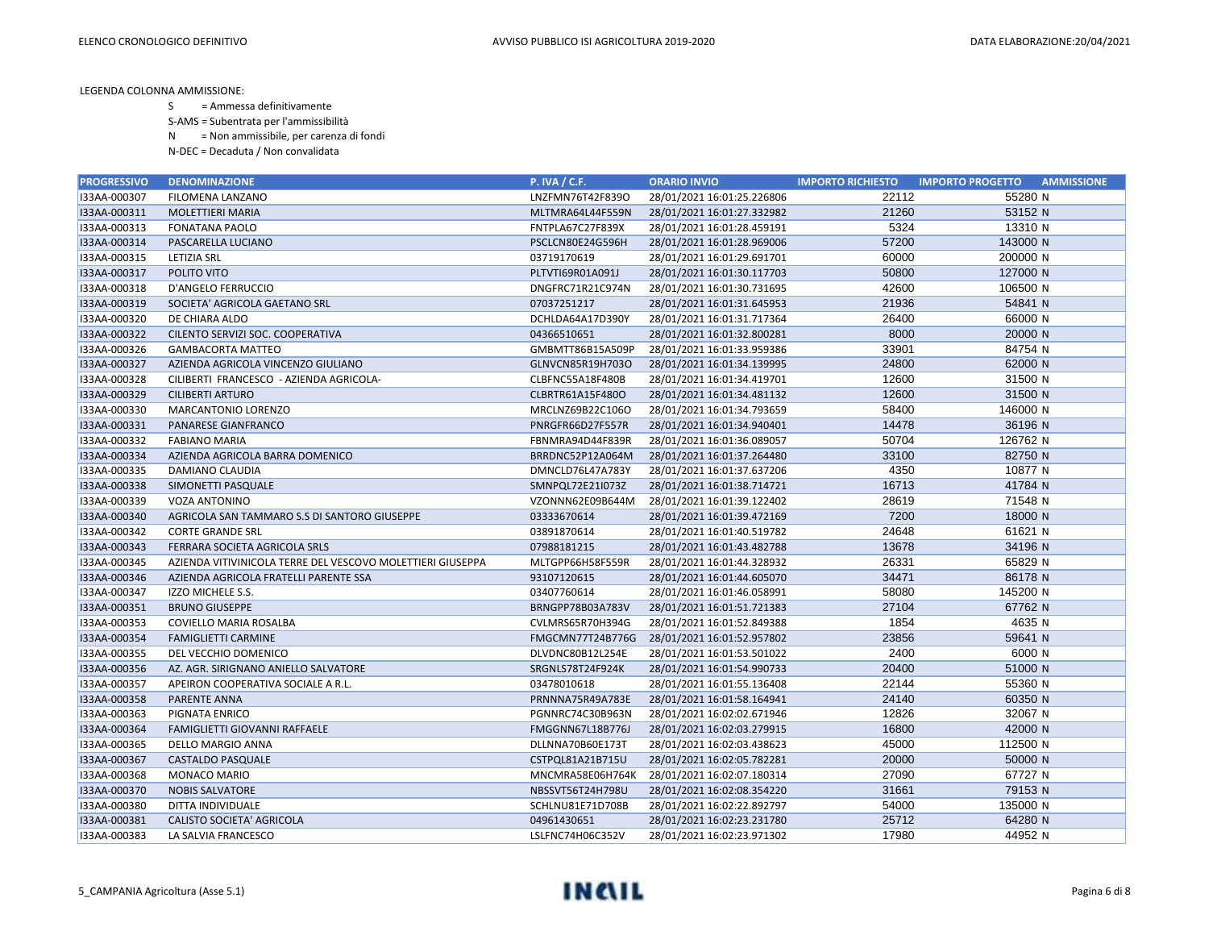- S = Ammessa definitivamente
- S-AMS = Subentrata per l'ammissibilità
- N = Non ammissibile, per carenza di fondi
- N-DEC = Decaduta / Non convalidata

| <b>PROGRESSIVO</b> | <b>DENOMINAZIONE</b>                                       | <b>P. IVA / C.F.</b> | <b>ORARIO INVIO</b>        | <b>IMPORTO RICHIESTO</b> | <b>AMMISSIONE</b><br><b>IMPORTO PROGETTO</b> |
|--------------------|------------------------------------------------------------|----------------------|----------------------------|--------------------------|----------------------------------------------|
| I33AA-000307       | FILOMENA LANZANO                                           | LNZFMN76T42F839O     | 28/01/2021 16:01:25.226806 | 22112                    | 55280 N                                      |
| I33AA-000311       | <b>MOLETTIERI MARIA</b>                                    | MLTMRA64L44F559N     | 28/01/2021 16:01:27.332982 | 21260                    | 53152 N                                      |
| I33AA-000313       | <b>FONATANA PAOLO</b>                                      | FNTPLA67C27F839X     | 28/01/2021 16:01:28.459191 | 5324                     | 13310 N                                      |
| I33AA-000314       | PASCARELLA LUCIANO                                         | PSCLCN80E24G596H     | 28/01/2021 16:01:28.969006 | 57200                    | 143000 N                                     |
| I33AA-000315       | <b>LETIZIA SRL</b>                                         | 03719170619          | 28/01/2021 16:01:29.691701 | 60000                    | 200000 N                                     |
| I33AA-000317       | POLITO VITO                                                | PLTVTI69R01A091J     | 28/01/2021 16:01:30.117703 | 50800                    | 127000 N                                     |
| I33AA-000318       | D'ANGELO FERRUCCIO                                         | DNGFRC71R21C974N     | 28/01/2021 16:01:30.731695 | 42600                    | 106500 N                                     |
| I33AA-000319       | SOCIETA' AGRICOLA GAETANO SRL                              | 07037251217          | 28/01/2021 16:01:31.645953 | 21936                    | 54841 N                                      |
| I33AA-000320       | DE CHIARA ALDO                                             | DCHLDA64A17D390Y     | 28/01/2021 16:01:31.717364 | 26400                    | 66000 N                                      |
| I33AA-000322       | CILENTO SERVIZI SOC. COOPERATIVA                           | 04366510651          | 28/01/2021 16:01:32.800281 | 8000                     | 20000 N                                      |
| I33AA-000326       | <b>GAMBACORTA MATTEO</b>                                   | GMBMTT86B15A509P     | 28/01/2021 16:01:33.959386 | 33901                    | 84754 N                                      |
| I33AA-000327       | AZIENDA AGRICOLA VINCENZO GIULIANO                         | GLNVCN85R19H703O     | 28/01/2021 16:01:34.139995 | 24800                    | 62000 N                                      |
| I33AA-000328       | CILIBERTI FRANCESCO - AZIENDA AGRICOLA-                    | CLBFNC55A18F480B     | 28/01/2021 16:01:34.419701 | 12600                    | 31500 N                                      |
| I33AA-000329       | <b>CILIBERTI ARTURO</b>                                    | CLBRTR61A15F480O     | 28/01/2021 16:01:34.481132 | 12600                    | 31500 N                                      |
| I33AA-000330       | MARCANTONIO LORENZO                                        | MRCLNZ69B22C106O     | 28/01/2021 16:01:34.793659 | 58400                    | 146000 N                                     |
| I33AA-000331       | <b>PANARESE GIANFRANCO</b>                                 | PNRGFR66D27F557R     | 28/01/2021 16:01:34.940401 | 14478                    | 36196 N                                      |
| I33AA-000332       | <b>FABIANO MARIA</b>                                       | FBNMRA94D44F839R     | 28/01/2021 16:01:36.089057 | 50704                    | 126762 N                                     |
| I33AA-000334       | AZIENDA AGRICOLA BARRA DOMENICO                            | BRRDNC52P12A064M     | 28/01/2021 16:01:37.264480 | 33100                    | 82750 N                                      |
| I33AA-000335       | DAMIANO CLAUDIA                                            | DMNCLD76L47A783Y     | 28/01/2021 16:01:37.637206 | 4350                     | 10877 N                                      |
| I33AA-000338       | SIMONETTI PASQUALE                                         | SMNPQL72E21I073Z     | 28/01/2021 16:01:38.714721 | 16713                    | 41784 N                                      |
| I33AA-000339       | <b>VOZA ANTONINO</b>                                       | VZONNN62E09B644M     | 28/01/2021 16:01:39.122402 | 28619                    | 71548 N                                      |
| I33AA-000340       | AGRICOLA SAN TAMMARO S.S DI SANTORO GIUSEPPE               | 03333670614          | 28/01/2021 16:01:39.472169 | 7200                     | 18000 N                                      |
| I33AA-000342       | <b>CORTE GRANDE SRL</b>                                    | 03891870614          | 28/01/2021 16:01:40.519782 | 24648                    | 61621 N                                      |
| I33AA-000343       | FERRARA SOCIETA AGRICOLA SRLS                              | 07988181215          | 28/01/2021 16:01:43.482788 | 13678                    | 34196 N                                      |
| I33AA-000345       | AZIENDA VITIVINICOLA TERRE DEL VESCOVO MOLETTIERI GIUSEPPA | MLTGPP66H58F559R     | 28/01/2021 16:01:44.328932 | 26331                    | 65829 N                                      |
| I33AA-000346       | AZIENDA AGRICOLA FRATELLI PARENTE SSA                      | 93107120615          | 28/01/2021 16:01:44.605070 | 34471                    | 86178 N                                      |
| I33AA-000347       | IZZO MICHELE S.S.                                          | 03407760614          | 28/01/2021 16:01:46.058991 | 58080                    | 145200 N                                     |
| I33AA-000351       | <b>BRUNO GIUSEPPE</b>                                      | BRNGPP78B03A783V     | 28/01/2021 16:01:51.721383 | 27104                    | 67762 N                                      |
| I33AA-000353       | COVIELLO MARIA ROSALBA                                     | CVLMRS65R70H394G     | 28/01/2021 16:01:52.849388 | 1854                     | 4635 N                                       |
| I33AA-000354       | <b>FAMIGLIETTI CARMINE</b>                                 | FMGCMN77T24B776G     | 28/01/2021 16:01:52.957802 | 23856                    | 59641 N                                      |
| I33AA-000355       | DEL VECCHIO DOMENICO                                       | DLVDNC80B12L254E     | 28/01/2021 16:01:53.501022 | 2400                     | 6000 N                                       |
| I33AA-000356       | AZ. AGR. SIRIGNANO ANIELLO SALVATORE                       | SRGNLS78T24F924K     | 28/01/2021 16:01:54.990733 | 20400                    | 51000 N                                      |
| I33AA-000357       | APEIRON COOPERATIVA SOCIALE A R.L.                         | 03478010618          | 28/01/2021 16:01:55.136408 | 22144                    | 55360 N                                      |
| I33AA-000358       | PARENTE ANNA                                               | PRNNNA75R49A783E     | 28/01/2021 16:01:58.164941 | 24140                    | 60350 N                                      |
| I33AA-000363       | PIGNATA ENRICO                                             | PGNNRC74C30B963N     | 28/01/2021 16:02:02.671946 | 12826                    | 32067 N                                      |
| I33AA-000364       | FAMIGLIETTI GIOVANNI RAFFAELE                              | FMGGNN67L18B776J     | 28/01/2021 16:02:03.279915 | 16800                    | 42000 N                                      |
| I33AA-000365       | <b>DELLO MARGIO ANNA</b>                                   | DLLNNA70B60E173T     | 28/01/2021 16:02:03.438623 | 45000                    | 112500 N                                     |
| I33AA-000367       | <b>CASTALDO PASQUALE</b>                                   | CSTPQL81A21B715U     | 28/01/2021 16:02:05.782281 | 20000                    | 50000 N                                      |
| I33AA-000368       | <b>MONACO MARIO</b>                                        | MNCMRA58E06H764K     | 28/01/2021 16:02:07.180314 | 27090                    | 67727 N                                      |
| I33AA-000370       | <b>NOBIS SALVATORE</b>                                     | NBSSVT56T24H798U     | 28/01/2021 16:02:08.354220 | 31661                    | 79153 N                                      |
| I33AA-000380       | DITTA INDIVIDUALE                                          | SCHLNU81E71D708B     | 28/01/2021 16:02:22.892797 | 54000                    | 135000 N                                     |
| I33AA-000381       | <b>CALISTO SOCIETA' AGRICOLA</b>                           | 04961430651          | 28/01/2021 16:02:23.231780 | 25712                    | 64280 N                                      |
| I33AA-000383       | LA SALVIA FRANCESCO                                        | LSLFNC74H06C352V     | 28/01/2021 16:02:23.971302 | 17980                    | 44952 N                                      |

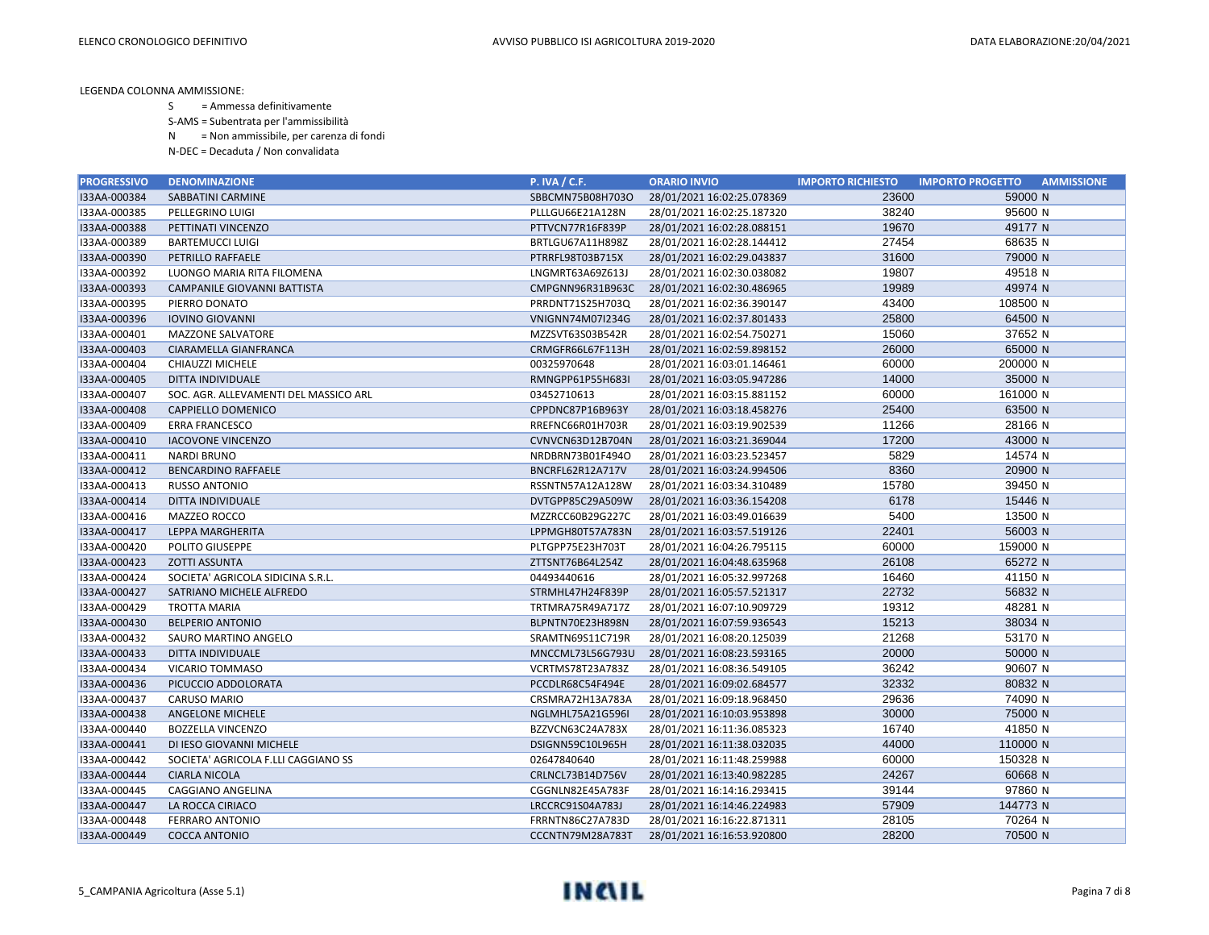S = Ammessa definitivamente

S-AMS = Subentrata per l'ammissibilità

N = Non ammissibile, per carenza di fondi

N-DEC = Decaduta / Non convalidata

| <b>PROGRESSIVO</b> | <b>DENOMINAZIONE</b>                  | <b>P. IVA / C.F.</b>    | <b>ORARIO INVIO</b>        | <b>IMPORTO RICHIESTO</b> | <b>AMMISSIONE</b><br><b>IMPORTO PROGETTO</b> |
|--------------------|---------------------------------------|-------------------------|----------------------------|--------------------------|----------------------------------------------|
| I33AA-000384       | SABBATINI CARMINE                     | SBBCMN75B08H703O        | 28/01/2021 16:02:25.078369 | 23600                    | 59000 N                                      |
| I33AA-000385       | PELLEGRINO LUIGI                      | PLLLGU66E21A128N        | 28/01/2021 16:02:25.187320 | 38240                    | 95600 N                                      |
| I33AA-000388       | PETTINATI VINCENZO                    | PTTVCN77R16F839P        | 28/01/2021 16:02:28.088151 | 19670                    | 49177 N                                      |
| I33AA-000389       | <b>BARTEMUCCI LUIGI</b>               | BRTLGU67A11H898Z        | 28/01/2021 16:02:28.144412 | 27454                    | 68635 N                                      |
| I33AA-000390       | PETRILLO RAFFAELE                     | PTRRFL98T03B715X        | 28/01/2021 16:02:29.043837 | 31600                    | 79000 N                                      |
| I33AA-000392       | LUONGO MARIA RITA FILOMENA            | LNGMRT63A69Z613J        | 28/01/2021 16:02:30.038082 | 19807                    | 49518 N                                      |
| I33AA-000393       | CAMPANILE GIOVANNI BATTISTA           | CMPGNN96R31B963C        | 28/01/2021 16:02:30.486965 | 19989                    | 49974 N                                      |
| I33AA-000395       | PIERRO DONATO                         | PRRDNT71S25H703Q        | 28/01/2021 16:02:36.390147 | 43400                    | 108500 N                                     |
| I33AA-000396       | <b>IOVINO GIOVANNI</b>                | VNIGNN74M07I234G        | 28/01/2021 16:02:37.801433 | 25800                    | 64500 N                                      |
| I33AA-000401       | <b>MAZZONE SALVATORE</b>              | MZZSVT63S03B542R        | 28/01/2021 16:02:54.750271 | 15060                    | 37652 N                                      |
| I33AA-000403       | CIARAMELLA GIANFRANCA                 | CRMGFR66L67F113H        | 28/01/2021 16:02:59.898152 | 26000                    | 65000 N                                      |
| I33AA-000404       | CHIAUZZI MICHELE                      | 00325970648             | 28/01/2021 16:03:01.146461 | 60000                    | 200000 N                                     |
| I33AA-000405       | DITTA INDIVIDUALE                     | RMNGPP61P55H683I        | 28/01/2021 16:03:05.947286 | 14000                    | 35000 N                                      |
| I33AA-000407       | SOC. AGR. ALLEVAMENTI DEL MASSICO ARL | 03452710613             | 28/01/2021 16:03:15.881152 | 60000                    | 161000 N                                     |
| I33AA-000408       | CAPPIELLO DOMENICO                    | CPPDNC87P16B963Y        | 28/01/2021 16:03:18.458276 | 25400                    | 63500 N                                      |
| I33AA-000409       | <b>ERRA FRANCESCO</b>                 | RREFNC66R01H703R        | 28/01/2021 16:03:19.902539 | 11266                    | 28166 N                                      |
| I33AA-000410       | <b>IACOVONE VINCENZO</b>              | CVNVCN63D12B704N        | 28/01/2021 16:03:21.369044 | 17200                    | 43000 N                                      |
| I33AA-000411       | <b>NARDI BRUNO</b>                    | NRDBRN73B01F494O        | 28/01/2021 16:03:23.523457 | 5829                     | 14574 N                                      |
| I33AA-000412       | <b>BENCARDINO RAFFAELE</b>            | BNCRFL62R12A717V        | 28/01/2021 16:03:24.994506 | 8360                     | 20900 N                                      |
| I33AA-000413       | <b>RUSSO ANTONIO</b>                  | RSSNTN57A12A128W        | 28/01/2021 16:03:34.310489 | 15780                    | 39450 N                                      |
| I33AA-000414       | DITTA INDIVIDUALE                     | DVTGPP85C29A509W        | 28/01/2021 16:03:36.154208 | 6178                     | 15446 N                                      |
| I33AA-000416       | MAZZEO ROCCO                          | MZZRCC60B29G227C        | 28/01/2021 16:03:49.016639 | 5400                     | 13500 N                                      |
| I33AA-000417       | LEPPA MARGHERITA                      | LPPMGH80T57A783N        | 28/01/2021 16:03:57.519126 | 22401                    | 56003 N                                      |
| I33AA-000420       | POLITO GIUSEPPE                       | PLTGPP75E23H703T        | 28/01/2021 16:04:26.795115 | 60000                    | 159000 N                                     |
| I33AA-000423       | <b>ZOTTI ASSUNTA</b>                  | ZTTSNT76B64L254Z        | 28/01/2021 16:04:48.635968 | 26108                    | 65272 N                                      |
| I33AA-000424       | SOCIETA' AGRICOLA SIDICINA S.R.L.     | 04493440616             | 28/01/2021 16:05:32.997268 | 16460                    | 41150 N                                      |
| I33AA-000427       | SATRIANO MICHELE ALFREDO              | STRMHL47H24F839P        | 28/01/2021 16:05:57.521317 | 22732                    | 56832 N                                      |
| I33AA-000429       | TROTTA MARIA                          | TRTMRA75R49A717Z        | 28/01/2021 16:07:10.909729 | 19312                    | 48281 N                                      |
| I33AA-000430       | <b>BELPERIO ANTONIO</b>               | BLPNTN70E23H898N        | 28/01/2021 16:07:59.936543 | 15213                    | 38034 N                                      |
| I33AA-000432       | SAURO MARTINO ANGELO                  | SRAMTN69S11C719R        | 28/01/2021 16:08:20.125039 | 21268                    | 53170 N                                      |
| I33AA-000433       | DITTA INDIVIDUALE                     | MNCCML73L56G793U        | 28/01/2021 16:08:23.593165 | 20000                    | 50000 N                                      |
| I33AA-000434       | VICARIO TOMMASO                       | VCRTMS78T23A783Z        | 28/01/2021 16:08:36.549105 | 36242                    | 90607 N                                      |
| I33AA-000436       | PICUCCIO ADDOLORATA                   | PCCDLR68C54F494E        | 28/01/2021 16:09:02.684577 | 32332                    | 80832 N                                      |
| I33AA-000437       | <b>CARUSO MARIO</b>                   | CRSMRA72H13A783A        | 28/01/2021 16:09:18.968450 | 29636                    | 74090 N                                      |
| I33AA-000438       | ANGELONE MICHELE                      | <b>NGLMHL75A21G596I</b> | 28/01/2021 16:10:03.953898 | 30000                    | 75000 N                                      |
| I33AA-000440       | <b>BOZZELLA VINCENZO</b>              | BZZVCN63C24A783X        | 28/01/2021 16:11:36.085323 | 16740                    | 41850 N                                      |
| I33AA-000441       | DI IESO GIOVANNI MICHELE              | DSIGNN59C10L965H        | 28/01/2021 16:11:38.032035 | 44000                    | 110000 N                                     |
| I33AA-000442       | SOCIETA' AGRICOLA F.LLI CAGGIANO SS   | 02647840640             | 28/01/2021 16:11:48.259988 | 60000                    | 150328 N                                     |
| I33AA-000444       | <b>CIARLA NICOLA</b>                  | CRLNCL73B14D756V        | 28/01/2021 16:13:40.982285 | 24267                    | 60668 N                                      |
| I33AA-000445       | CAGGIANO ANGELINA                     | CGGNLN82E45A783F        | 28/01/2021 16:14:16.293415 | 39144                    | 97860 N                                      |
| I33AA-000447       | LA ROCCA CIRIACO                      | LRCCRC91S04A783J        | 28/01/2021 16:14:46.224983 | 57909                    | 144773 N                                     |
| I33AA-000448       | <b>FERRARO ANTONIO</b>                | FRRNTN86C27A783D        | 28/01/2021 16:16:22.871311 | 28105                    | 70264 N                                      |
| I33AA-000449       | <b>COCCA ANTONIO</b>                  | CCCNTN79M28A783T        | 28/01/2021 16:16:53.920800 | 28200                    | 70500 N                                      |